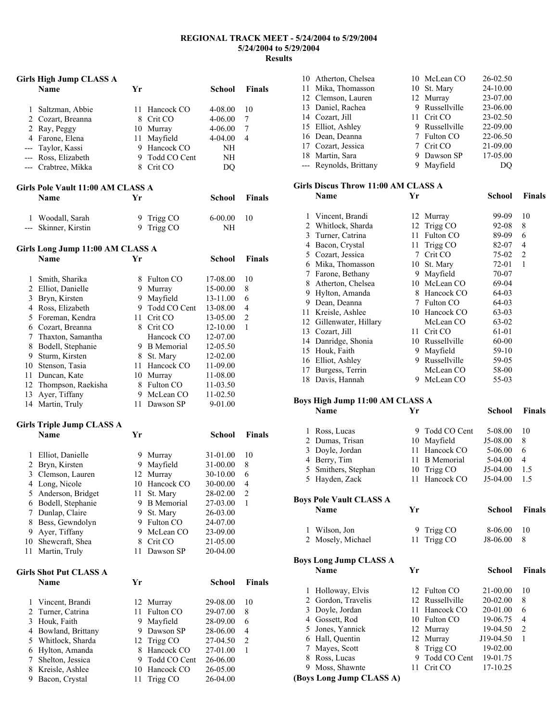### **REGIONAL TRACK MEET - 5/24/2004 to 5/29/2004 5/24/2004 to 5/29/2004 Results**

|                | Girls High Jump CLASS A              |    |                   |               |                         |
|----------------|--------------------------------------|----|-------------------|---------------|-------------------------|
|                | <b>Name</b>                          | Yr |                   | School        | <b>Finals</b>           |
| $\mathbf{1}$   |                                      | 11 | Hancock CO        | 4-08.00       | 10                      |
|                | Saltzman, Abbie<br>2 Cozart, Breanna |    | 8 Crit CO         | 4-06.00       | 7                       |
|                | 2 Ray, Peggy                         |    | 10 Murray         | 4-06.00       | 7                       |
|                | 4 Farone, Elena                      | 11 | Mayfield          | 4-04.00       | 4                       |
|                | --- Taylor, Kassi                    |    | 9 Hancock CO      | NΗ            |                         |
|                | --- Ross, Elizabeth                  |    | 9 Todd CO Cent    | NΗ            |                         |
|                | --- Crabtree, Mikka                  |    | 8 Crit CO         | DQ            |                         |
|                | Girls Pole Vault 11:00 AM CLASS A    |    |                   |               |                         |
|                | <b>Name</b>                          | Yr |                   | School        | <b>Finals</b>           |
| 1              | Woodall, Sarah                       | 9  | Trigg CO          | $6 - 00.00$   | 10                      |
| ---            | Skinner, Kirstin                     | 9  | Trigg CO          | NH            |                         |
|                | Girls Long Jump 11:00 AM CLASS A     |    |                   |               |                         |
|                | <b>Name</b>                          | Yr |                   | School        | <b>Finals</b>           |
| 1              | Smith, Sharika                       |    | 8 Fulton CO       | 17-08.00      | 10                      |
| $\overline{2}$ | Elliot, Danielle                     |    | 9 Murray          | 15-00.00      | 8                       |
| 3              | Bryn, Kirsten                        |    | 9 Mayfield        | 13-11.00      | 6                       |
| 4              | Ross, Elizabeth                      |    | 9 Todd CO Cent    | 13-08.00      | 4                       |
|                | 5 Foreman, Kendra                    |    | 11 Crit CO        | 13-05.00      | $\overline{2}$          |
|                | 6 Cozart, Breanna                    |    | 8 Crit CO         | 12-10.00      | 1                       |
| 7              | Thaxton, Samantha                    |    | Hancock CO        | 12-07.00      |                         |
| 8              | Bodell, Stephanie                    |    | 9 B Memorial      | 12-05.50      |                         |
| 9              | Sturm, Kirsten                       |    | 8 St. Mary        | 12-02.00      |                         |
|                | 10 Stenson, Tasia                    |    | 11 Hancock CO     | 11-09.00      |                         |
| 11             | Duncan, Kate                         |    | 10 Murray         | 11-08.00      |                         |
| 12             | Thompson, Raekisha                   | 8  | <b>Fulton CO</b>  | 11-03.50      |                         |
| 13             | Ayer, Tiffany                        |    | 9 McLean CO       | 11-02.50      |                         |
|                | 14 Martin, Truly                     |    | 11 Dawson SP      | 9-01.00       |                         |
|                | <b>Girls Triple Jump CLASS A</b>     |    |                   |               |                         |
|                | <b>Name</b>                          | Yr |                   | School        | <b>Finals</b>           |
| 1              | Elliot, Danielle                     |    | 9 Murray          | 31-01.00      | 10                      |
| 2              | Bryn, Kirsten                        | 9  | Mayfield          | 31-00.00      | 8                       |
| 3              | Clemson, Lauren                      | 12 | Murray            | 30-10.00      | 6                       |
| 4              | Long, Nicole                         | 10 | Hancock CO        | 30-00.00      | 4                       |
| 5              | Anderson, Bridget                    | 11 | St. Mary          | 28-02.00      | 2                       |
| 6              | Bodell, Stephanie                    | 9  | <b>B</b> Memorial | 27-03.00      | 1                       |
| 7              | Dunlap, Claire                       | 9  | St. Mary          | 26-03.00      |                         |
| 8              | Bess, Gewndolyn                      | 9  | Fulton CO         | 24-07.00      |                         |
| 9              | Ayer, Tiffany                        | 9  | McLean CO         | 23-09.00      |                         |
| 10             | Shewcraft, Shea                      | 8  | Crit CO           | 21-05.00      |                         |
| 11             | Martin, Truly                        | 11 | Dawson SP         | 20-04.00      |                         |
|                | <b>Girls Shot Put CLASS A</b>        |    |                   |               |                         |
|                | <b>Name</b>                          | Yr |                   | <b>School</b> | <b>Finals</b>           |
| 1              | Vincent, Brandi                      | 12 | Murray            | 29-08.00      | 10                      |
| $\overline{c}$ | Turner, Catrina                      | 11 | Fulton CO         | 29-07.00      | 8                       |
| 3              | Houk, Faith                          | 9  | Mayfield          | 28-09.00      | 6                       |
| 4              | Bowland, Brittany                    | 9  | Dawson SP         | 28-06.00      | 4                       |
| 5              | Whitlock, Sharda                     | 12 | Trigg CO          | 27-04.50      | $\overline{\mathbf{c}}$ |
| 6              | Hylton, Amanda                       | 8  | Hancock CO        | 27-01.00      | 1                       |
| 7              | Shelton, Jessica                     | 9  | Todd CO Cent      | 26-06.00      |                         |
| 8              | Kreisle, Ashlee                      | 10 | Hancock CO        | 26-05.00      |                         |
| 9              | Bacon, Crystal                       | 11 | Trigg CO          | 26-04.00      |                         |

| 10 Atherton, Chelsea   | 10 McLean CO   | 26-02.50 |
|------------------------|----------------|----------|
| 11 Mika, Thomasson     | 10 St. Mary    | 24-10.00 |
| 12 Clemson, Lauren     | 12 Murray      | 23-07.00 |
| 13 Daniel, Rachea      | 9 Russellville | 23-06.00 |
| 14 Cozart, Jill        | 11 Crit CO     | 23-02.50 |
| 15 Elliot, Ashley      | 9 Russellville | 22-09.00 |
| 16 Dean, Deanna        | 7 Fulton CO    | 22-06.50 |
| 17 Cozart, Jessica     | 7 Crit CO      | 21-09.00 |
| 18 Martin, Sara        | 9 Dawson SP    | 17-05.00 |
| --- Reynolds, Brittany | Mayfield       |          |
|                        |                |          |

## **Girls Discus Throw 11:00 AM CLASS A**

|    | Name                 | Yr |                  | School | <b>Finals</b>  |
|----|----------------------|----|------------------|--------|----------------|
|    | Vincent, Brandi      | 12 | Murray           | 99-09  | 10             |
| 2  | Whitlock, Sharda     | 12 | Trigg CO         | 92-08  | 8              |
| 3  | Turner, Catrina      | 11 | Fulton CO        | 89-09  | 6              |
| 4  | Bacon, Crystal       | 11 | Trigg CO         | 82-07  | $\overline{4}$ |
| 5  | Cozart, Jessica      | 7  | Crit CO          | 75-02  | $\overline{2}$ |
| 6  | Mika, Thomasson      | 10 | St. Mary         | 72-01  | 1              |
| 7  | Farone, Bethany      | 9  | Mayfield         | 70-07  |                |
| 8  | Atherton, Chelsea    | 10 | McLean CO        | 69-04  |                |
| 9  | Hylton, Amanda       | 8  | Hancock CO       | 64-03  |                |
| 9  | Dean, Deanna         | 7  | <b>Fulton CO</b> | 64-03  |                |
| 11 | Kreisle, Ashlee      | 10 | Hancock CO       | 63-03  |                |
| 12 | Gillenwater, Hillary |    | McLean CO        | 63-02  |                |
| 13 | Cozart, Jill         | 11 | Crit CO          | 61-01  |                |
|    | 14 Danridge, Shonia  | 10 | Russellville     | 60-00  |                |
| 15 | Houk, Faith          | 9  | Mayfield         | 59-10  |                |
|    | 16 Elliot, Ashley    | 9  | Russellville     | 59-05  |                |
| 17 | Burgess, Terrin      |    | McLean CO        | 58-00  |                |
|    | 18 Davis, Hannah     | 9  | McLean CO        | 55-03  |                |

#### **Boys High Jump 11:00 AM CLASS A**

|                               | Name                           | Yr |                   | School     | <b>Finals</b>  |
|-------------------------------|--------------------------------|----|-------------------|------------|----------------|
| 1                             | Ross, Lucas                    | 9  | Todd CO Cent      | 5-08.00    | 10             |
|                               | 2 Dumas, Trisan                | 10 | Mayfield          | J5-08.00   | 8              |
| 3                             | Doyle, Jordan                  | 11 | Hancock CO        | 5-06.00    | 6              |
| 4                             | Berry, Tim                     | 11 | <b>B</b> Memorial | $5-04.00$  | $\overline{4}$ |
| 5                             | Smithers, Stephan              |    | 10 Trigg CO       | $J5-04.00$ | 1.5            |
| 5                             | Hayden, Zack                   | 11 | Hancock CO        | $J5-04.00$ | 1.5            |
|                               |                                |    |                   |            |                |
|                               | <b>Boys Pole Vault CLASS A</b> |    |                   |            |                |
|                               | <b>Name</b>                    | Yr |                   | School     | <b>Finals</b>  |
| 1                             | Wilson, Jon                    | 9  | Trigg CO          | 8-06.00    | 10             |
| 2                             | Mosely, Michael                | 11 | Trigg CO          | J8-06.00   | 8              |
|                               |                                |    |                   |            |                |
| <b>Boys Long Jump CLASS A</b> |                                |    |                   |            |                |
|                               | <b>Name</b>                    | Yr |                   | School     | <b>Finals</b>  |
|                               |                                |    |                   |            |                |
| 1                             | Holloway, Elvis                |    | 12 Fulton CO      | 21-00.00   | 10             |
| 2                             | Gordon, Travelis               | 12 | Russellville      | 20-02.00   | 8              |
|                               | 3 Doyle, Jordan                |    | 11 Hancock CO     | 20-01.00   | 6              |
|                               | 4 Gossett, Rod                 |    | 10 Fulton CO      | 19-06.75   | $\overline{4}$ |
|                               | 5 Jones, Yannick               |    | 12 Murray         | 19-04.50   | $\sqrt{2}$     |
| 6                             | Hall, Quentin                  | 12 | Murray            | J19-04.50  | 1              |
| 7                             | Mayes, Scott                   | 8  | Trigg CO          | 19-02.00   |                |
|                               | 8 Ross, Lucas                  | 9  | Todd CO Cent      | 19-01.75   |                |
| 9                             | Moss, Shawnte                  | 11 | Crit CO           | 17-10.25   |                |
|                               | (Boys Long Jump CLASS A)       |    |                   |            |                |